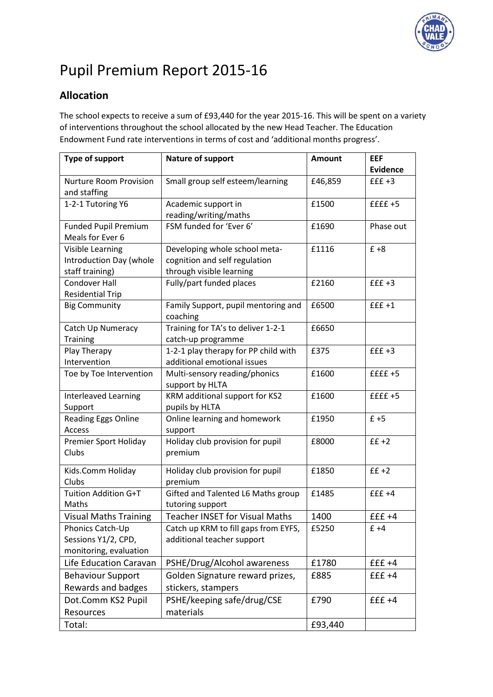

# Pupil Premium Report 2015-16

# **Allocation**

The school expects to receive a sum of £93,440 for the year 2015-16. This will be spent on a variety of interventions throughout the school allocated by the new Head Teacher. The Education Endowment Fund rate interventions in terms of cost and 'additional months progress'.

| <b>Type of support</b>        | Nature of support                                | <b>Amount</b> | <b>EEF</b><br>Evidence |
|-------------------------------|--------------------------------------------------|---------------|------------------------|
| <b>Nurture Room Provision</b> | Small group self esteem/learning                 | £46,859       | $fff+3$                |
| and staffing                  |                                                  |               |                        |
| 1-2-1 Tutoring Y6             | Academic support in                              | £1500         | $£f f + 5$             |
|                               | reading/writing/maths                            |               |                        |
| <b>Funded Pupil Premium</b>   | FSM funded for 'Ever 6'                          | £1690         | Phase out              |
| Meals for Ever 6              |                                                  |               |                        |
| Visible Learning              | Developing whole school meta-                    | £1116         | $£ + 8$                |
| Introduction Day (whole       | cognition and self regulation                    |               |                        |
| staff training)               | through visible learning                         |               |                        |
| <b>Condover Hall</b>          | Fully/part funded places                         | £2160         | $fff+3$                |
| <b>Residential Trip</b>       |                                                  |               |                        |
| <b>Big Community</b>          | Family Support, pupil mentoring and<br>coaching  | £6500         | $fff+1$                |
| Catch Up Numeracy             | Training for TA's to deliver 1-2-1               | £6650         |                        |
| <b>Training</b>               | catch-up programme                               |               |                        |
| Play Therapy                  | 1-2-1 play therapy for PP child with             | £375          | $fff+3$                |
| Intervention                  | additional emotional issues                      |               |                        |
| Toe by Toe Intervention       | Multi-sensory reading/phonics<br>support by HLTA | £1600         | $£Eff+5$               |
| Interleaved Learning          | KRM additional support for KS2                   | £1600         | $£f f + 5$             |
| Support                       | pupils by HLTA                                   |               |                        |
| <b>Reading Eggs Online</b>    | Online learning and homework                     | £1950         | $f + 5$                |
| Access                        | support                                          |               |                        |
| Premier Sport Holiday         | Holiday club provision for pupil                 | £8000         | $f f + 2$              |
| Clubs                         | premium                                          |               |                        |
| Kids.Comm Holiday             | Holiday club provision for pupil                 | £1850         | $f f + 2$              |
| Clubs                         | premium                                          |               |                        |
| Tuition Addition G+T          | Gifted and Talented L6 Maths group               | £1485         | $fff+4$                |
| Maths                         | tutoring support                                 |               |                        |
| <b>Visual Maths Training</b>  | <b>Teacher INSET for Visual Maths</b>            | 1400          | $£f+4$                 |
| Phonics Catch-Up              | Catch up KRM to fill gaps from EYFS,             | £5250         | $£ +4$                 |
| Sessions Y1/2, CPD,           | additional teacher support                       |               |                        |
| monitoring, evaluation        |                                                  |               |                        |
| Life Education Caravan        | PSHE/Drug/Alcohol awareness                      | £1780         | $£f+4$                 |
| <b>Behaviour Support</b>      | Golden Signature reward prizes,                  | £885          | $££ +4$                |
| Rewards and badges            | stickers, stampers                               |               |                        |
| Dot.Comm KS2 Pupil            | PSHE/keeping safe/drug/CSE                       | £790          | $fff+4$                |
| Resources                     | materials                                        |               |                        |
| Total:                        |                                                  | £93,440       |                        |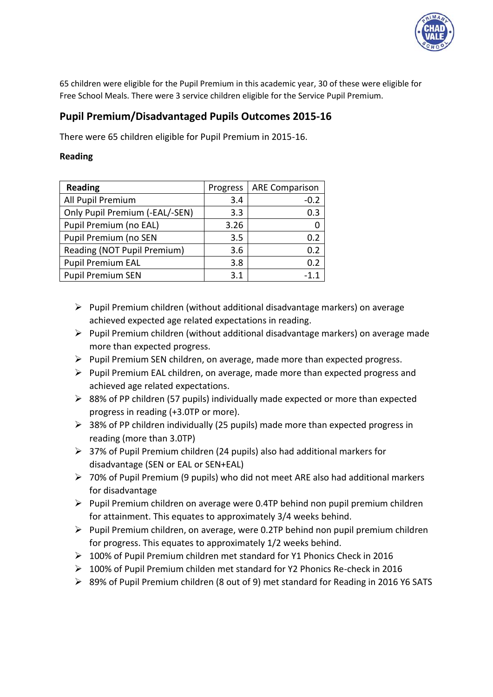

65 children were eligible for the Pupil Premium in this academic year, 30 of these were eligible for Free School Meals. There were 3 service children eligible for the Service Pupil Premium.

## **Pupil Premium/Disadvantaged Pupils Outcomes 2015-16**

There were 65 children eligible for Pupil Premium in 2015-16.

## **Reading**

| <b>Reading</b>                 | Progress | <b>ARE Comparison</b> |
|--------------------------------|----------|-----------------------|
| All Pupil Premium              | 3.4      | $-0.2$                |
| Only Pupil Premium (-EAL/-SEN) | 3.3      | 0.3                   |
| Pupil Premium (no EAL)         | 3.26     |                       |
| Pupil Premium (no SEN          | 3.5      | 0.2                   |
| Reading (NOT Pupil Premium)    | 3.6      | 0.2                   |
| <b>Pupil Premium EAL</b>       | 3.8      | 0.2                   |
| <b>Pupil Premium SEN</b>       | 3.1      |                       |

- $\triangleright$  Pupil Premium children (without additional disadvantage markers) on average achieved expected age related expectations in reading.
- $\triangleright$  Pupil Premium children (without additional disadvantage markers) on average made more than expected progress.
- $\triangleright$  Pupil Premium SEN children, on average, made more than expected progress.
- $\triangleright$  Pupil Premium EAL children, on average, made more than expected progress and achieved age related expectations.
- $\triangleright$  88% of PP children (57 pupils) individually made expected or more than expected progress in reading (+3.0TP or more).
- $\geq$  38% of PP children individually (25 pupils) made more than expected progress in reading (more than 3.0TP)
- 37% of Pupil Premium children (24 pupils) also had additional markers for disadvantage (SEN or EAL or SEN+EAL)
- 70% of Pupil Premium (9 pupils) who did not meet ARE also had additional markers for disadvantage
- $\triangleright$  Pupil Premium children on average were 0.4TP behind non pupil premium children for attainment. This equates to approximately 3/4 weeks behind.
- $\triangleright$  Pupil Premium children, on average, were 0.2TP behind non pupil premium children for progress. This equates to approximately 1/2 weeks behind.
- 100% of Pupil Premium children met standard for Y1 Phonics Check in 2016
- 100% of Pupil Premium childen met standard for Y2 Phonics Re-check in 2016
- $\triangleright$  89% of Pupil Premium children (8 out of 9) met standard for Reading in 2016 Y6 SATS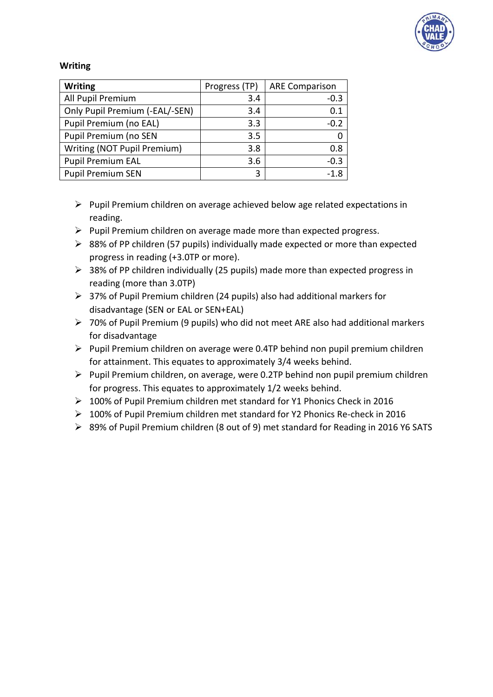

### **Writing**

| <b>Writing</b>                 | Progress (TP) | <b>ARE Comparison</b> |
|--------------------------------|---------------|-----------------------|
| All Pupil Premium              | 3.4           | $-0.3$                |
| Only Pupil Premium (-EAL/-SEN) | 3.4           | 0.1                   |
| Pupil Premium (no EAL)         | 3.3           | $-0.2$                |
| Pupil Premium (no SEN          | 3.5           |                       |
| Writing (NOT Pupil Premium)    | 3.8           | 0.8                   |
| <b>Pupil Premium EAL</b>       | 3.6           | $-0.3$                |
| <b>Pupil Premium SEN</b>       | 3             | $-1.8$                |

- $\triangleright$  Pupil Premium children on average achieved below age related expectations in reading.
- $\triangleright$  Pupil Premium children on average made more than expected progress.
- $\geq$  88% of PP children (57 pupils) individually made expected or more than expected progress in reading (+3.0TP or more).
- ▶ 38% of PP children individually (25 pupils) made more than expected progress in reading (more than 3.0TP)
- $\geq$  37% of Pupil Premium children (24 pupils) also had additional markers for disadvantage (SEN or EAL or SEN+EAL)
- 70% of Pupil Premium (9 pupils) who did not meet ARE also had additional markers for disadvantage
- $\triangleright$  Pupil Premium children on average were 0.4TP behind non pupil premium children for attainment. This equates to approximately 3/4 weeks behind.
- $\triangleright$  Pupil Premium children, on average, were 0.2TP behind non pupil premium children for progress. This equates to approximately 1/2 weeks behind.
- 100% of Pupil Premium children met standard for Y1 Phonics Check in 2016
- 100% of Pupil Premium children met standard for Y2 Phonics Re-check in 2016
- 89% of Pupil Premium children (8 out of 9) met standard for Reading in 2016 Y6 SATS